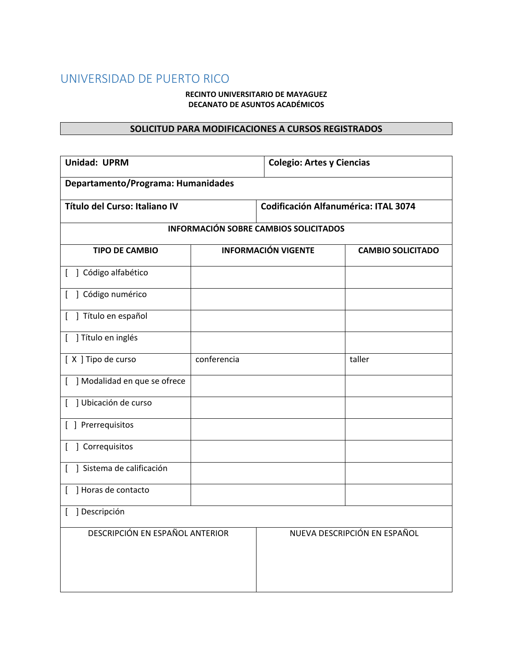## UNIVERSIDAD DE PUERTO RICO

## **RECINTO UNIVERSITARIO DE MAYAGUEZ DECANATO DE ASUNTOS ACADÉMICOS**

## **SOLICITUD PARA MODIFICACIONES A CURSOS REGISTRADOS**

| <b>Unidad: UPRM</b>                                             |             | <b>Colegio: Artes y Ciencias</b>            |                          |  |
|-----------------------------------------------------------------|-------------|---------------------------------------------|--------------------------|--|
| Departamento/Programa: Humanidades                              |             |                                             |                          |  |
| Título del Curso: Italiano IV                                   |             | <b>Codificación Alfanumérica: ITAL 3074</b> |                          |  |
| <b>INFORMACIÓN SOBRE CAMBIOS SOLICITADOS</b>                    |             |                                             |                          |  |
| <b>TIPO DE CAMBIO</b>                                           |             | <b>INFORMACIÓN VIGENTE</b>                  | <b>CAMBIO SOLICITADO</b> |  |
| ] Código alfabético<br>[                                        |             |                                             |                          |  |
| ] Código numérico<br>ſ                                          |             |                                             |                          |  |
| ] Título en español                                             |             |                                             |                          |  |
| ] Título en inglés<br>$\Gamma$                                  |             |                                             |                          |  |
| [X] Tipo de curso                                               | conferencia |                                             | taller                   |  |
| ] Modalidad en que se ofrece<br>$\mathbf{r}$                    |             |                                             |                          |  |
| ] Ubicación de curso<br>$\overline{1}$                          |             |                                             |                          |  |
| [ ] Prerrequisitos                                              |             |                                             |                          |  |
| ] Correquisitos<br>L                                            |             |                                             |                          |  |
| ] Sistema de calificación                                       |             |                                             |                          |  |
| Horas de contacto                                               |             |                                             |                          |  |
| ] Descripción<br>ſ                                              |             |                                             |                          |  |
| DESCRIPCIÓN EN ESPAÑOL ANTERIOR<br>NUEVA DESCRIPCIÓN EN ESPAÑOL |             |                                             |                          |  |
|                                                                 |             |                                             |                          |  |
|                                                                 |             |                                             |                          |  |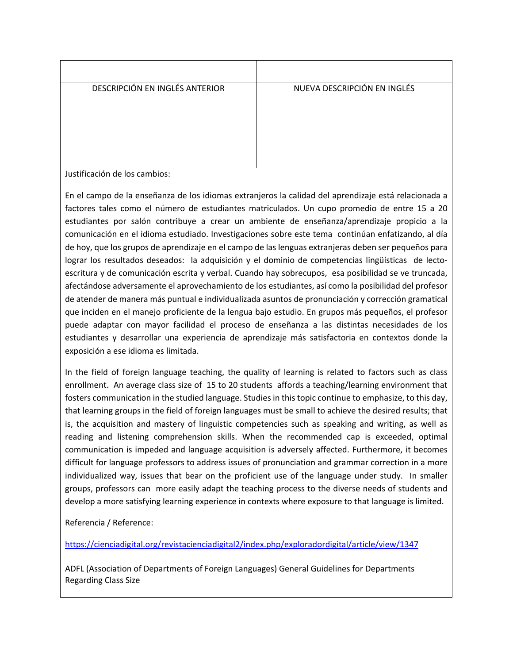| DESCRIPCIÓN EN INGLÉS ANTERIOR | NUEVA DESCRIPCIÓN EN INGLÉS |
|--------------------------------|-----------------------------|
|                                |                             |
| コースログ しょうせん こうしょうしょう こうしせい     |                             |

Justificación de los cambios:

En el campo de la enseñanza de los idiomas extranjeros la calidad del aprendizaje está relacionada a factores tales como el número de estudiantes matriculados. Un cupo promedio de entre 15 a 20 estudiantes por salón contribuye a crear un ambiente de enseñanza/aprendizaje propicio a la comunicación en el idioma estudiado. Investigaciones sobre este tema continúan enfatizando, al día de hoy, que los grupos de aprendizaje en el campo de las lenguas extranjeras deben ser pequeños para lograr los resultados deseados: la adquisición y el dominio de competencias lingüísticas de lectoescritura y de comunicación escrita y verbal. Cuando hay sobrecupos, esa posibilidad se ve truncada, afectándose adversamente el aprovechamiento de los estudiantes, así como la posibilidad del profesor de atender de manera más puntual e individualizada asuntos de pronunciación y corrección gramatical que inciden en el manejo proficiente de la lengua bajo estudio. En grupos más pequeños, el profesor puede adaptar con mayor facilidad el proceso de enseñanza a las distintas necesidades de los estudiantes y desarrollar una experiencia de aprendizaje más satisfactoria en contextos donde la exposición a ese idioma es limitada.

In the field of foreign language teaching, the quality of learning is related to factors such as class enrollment. An average class size of 15 to 20 students affords a teaching/learning environment that fosters communication in the studied language. Studies in this topic continue to emphasize, to this day, that learning groups in the field of foreign languages must be small to achieve the desired results; that is, the acquisition and mastery of linguistic competencies such as speaking and writing, as well as reading and listening comprehension skills. When the recommended cap is exceeded, optimal communication is impeded and language acquisition is adversely affected. Furthermore, it becomes difficult for language professors to address issues of pronunciation and grammar correction in a more individualized way, issues that bear on the proficient use of the language under study. In smaller groups, professors can more easily adapt the teaching process to the diverse needs of students and develop a more satisfying learning experience in contexts where exposure to that language is limited.

Referencia / Reference:

[https://cienciadigital.org/revistacienciadigital2/index.php/exploradordigital/article/view/1347](https://nam02.safelinks.protection.outlook.com/?url=https%3A%2F%2Fcienciadigital.org%2Frevistacienciadigital2%2Findex.php%2Fexploradordigital%2Farticle%2Fview%2F1347&data=04%7C01%7Cstephane.pillet%40upr.edu%7C1f015acf32984a9e1e4308d88b4dc9c3%7C0dfa5dc0036f461599e494af822f2b84%7C0%7C0%7C637412513507537137%7CUnknown%7CTWFpbGZsb3d8eyJWIjoiMC4wLjAwMDAiLCJQIjoiV2luMzIiLCJBTiI6Ik1haWwiLCJXVCI6Mn0%3D%7C1000&sdata=y8pxg0lVV0FXoDlGtafxX95IAyWO%2Bf2ynSogd7LIfUk%3D&reserved=0)

ADFL (Association of Departments of Foreign Languages) General Guidelines for Departments Regarding Class Size